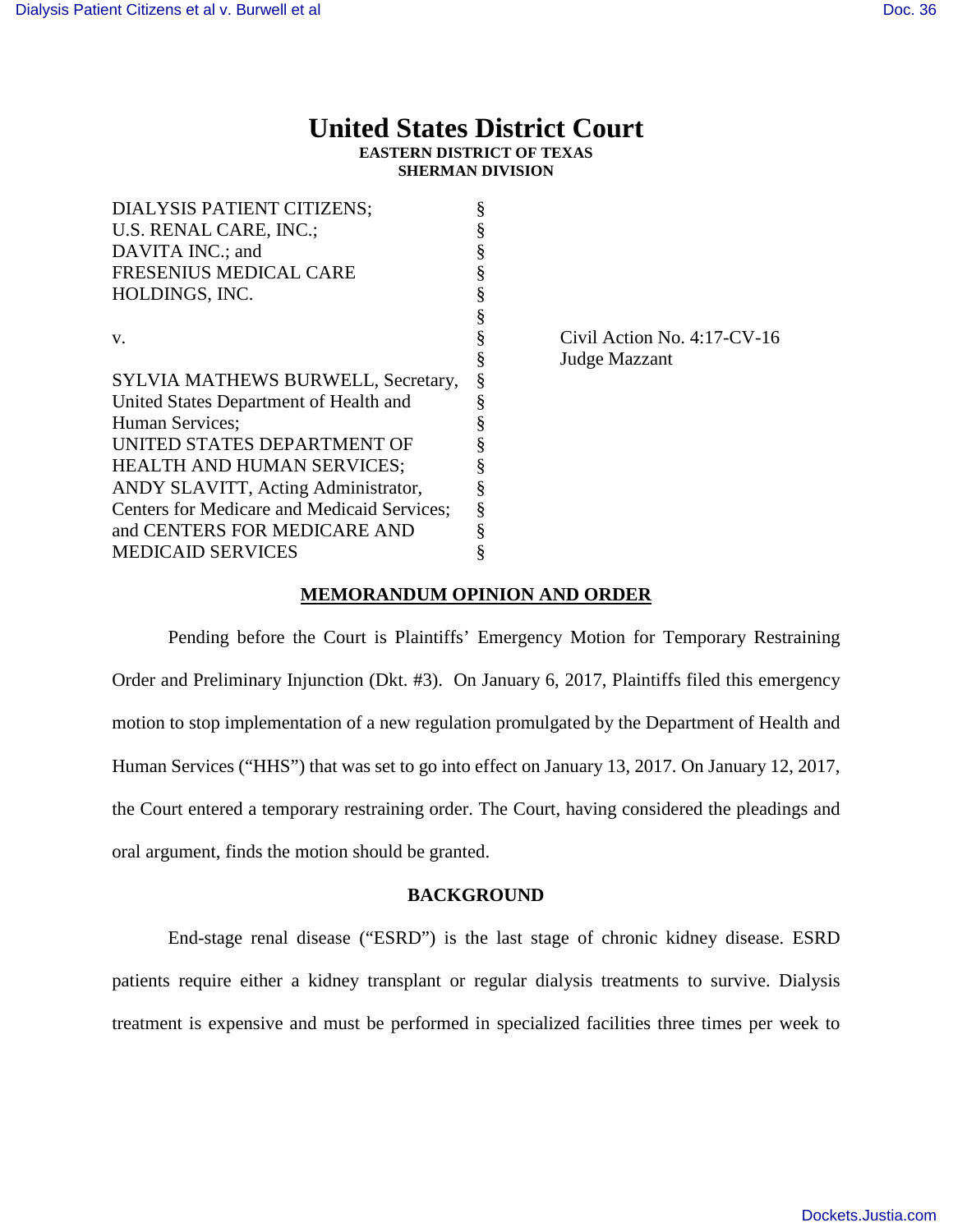# **United States District Court EASTERN DISTRICT OF TEXAS**

**SHERMAN DIVISION**

| DIALYSIS PATIENT CITIZENS;                  |                                |
|---------------------------------------------|--------------------------------|
| U.S. RENAL CARE, INC.;                      |                                |
| DAVITA INC.; and                            |                                |
| FRESENIUS MEDICAL CARE                      |                                |
| HOLDINGS, INC.                              |                                |
|                                             |                                |
| V.                                          | Civil Action No. $4:17$ -CV-16 |
|                                             | Judge Mazzant                  |
| SYLVIA MATHEWS BURWELL, Secretary,          |                                |
| United States Department of Health and      |                                |
| Human Services;                             |                                |
| UNITED STATES DEPARTMENT OF                 |                                |
| <b>HEALTH AND HUMAN SERVICES;</b>           |                                |
| ANDY SLAVITT, Acting Administrator,         |                                |
| Centers for Medicare and Medicaid Services; |                                |
| and CENTERS FOR MEDICARE AND                |                                |
| <b>MEDICAID SERVICES</b>                    |                                |

# **MEMORANDUM OPINION AND ORDER**

Pending before the Court is Plaintiffs' Emergency Motion for Temporary Restraining Order and Preliminary Injunction (Dkt. #3). On January 6, 2017, Plaintiffs filed this emergency motion to stop implementation of a new regulation promulgated by the Department of Health and Human Services ("HHS") that was set to go into effect on January 13, 2017. On January 12, 2017, the Court entered a temporary restraining order. The Court, having considered the pleadings and oral argument, finds the motion should be granted.

# **BACKGROUND**

End-stage renal disease ("ESRD") is the last stage of chronic kidney disease. ESRD patients require either a kidney transplant or regular dialysis treatments to survive. Dialysis treatment is expensive and must be performed in specialized facilities three times per week to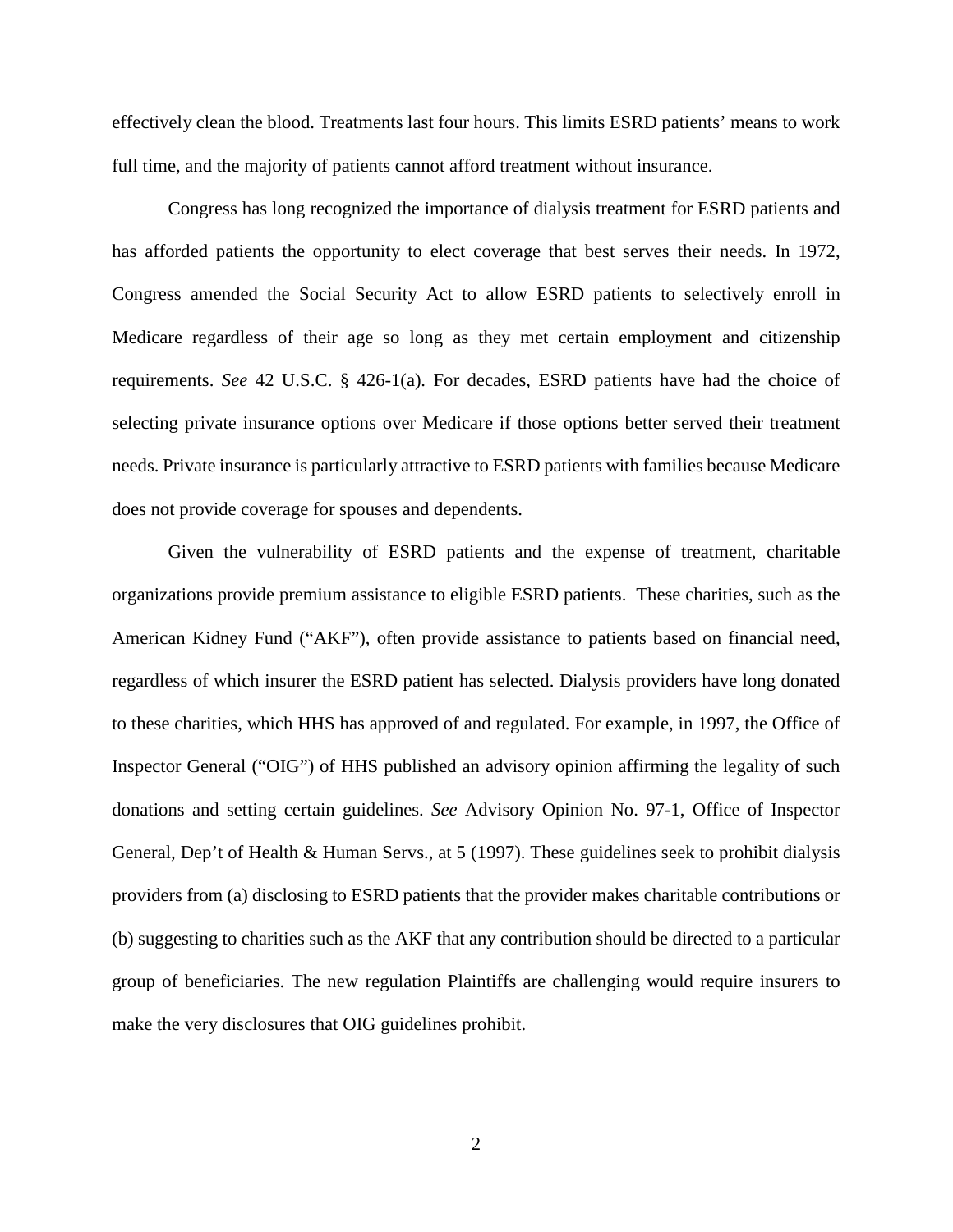effectively clean the blood. Treatments last four hours. This limits ESRD patients' means to work full time, and the majority of patients cannot afford treatment without insurance.

Congress has long recognized the importance of dialysis treatment for ESRD patients and has afforded patients the opportunity to elect coverage that best serves their needs. In 1972, Congress amended the Social Security Act to allow ESRD patients to selectively enroll in Medicare regardless of their age so long as they met certain employment and citizenship requirements. *See* 42 U.S.C. § 426-1(a). For decades, ESRD patients have had the choice of selecting private insurance options over Medicare if those options better served their treatment needs. Private insurance is particularly attractive to ESRD patients with families because Medicare does not provide coverage for spouses and dependents.

Given the vulnerability of ESRD patients and the expense of treatment, charitable organizations provide premium assistance to eligible ESRD patients. These charities, such as the American Kidney Fund ("AKF"), often provide assistance to patients based on financial need, regardless of which insurer the ESRD patient has selected. Dialysis providers have long donated to these charities, which HHS has approved of and regulated. For example, in 1997, the Office of Inspector General ("OIG") of HHS published an advisory opinion affirming the legality of such donations and setting certain guidelines. *See* Advisory Opinion No. 97-1, Office of Inspector General, Dep't of Health & Human Servs., at 5 (1997). These guidelines seek to prohibit dialysis providers from (a) disclosing to ESRD patients that the provider makes charitable contributions or (b) suggesting to charities such as the AKF that any contribution should be directed to a particular group of beneficiaries. The new regulation Plaintiffs are challenging would require insurers to make the very disclosures that OIG guidelines prohibit.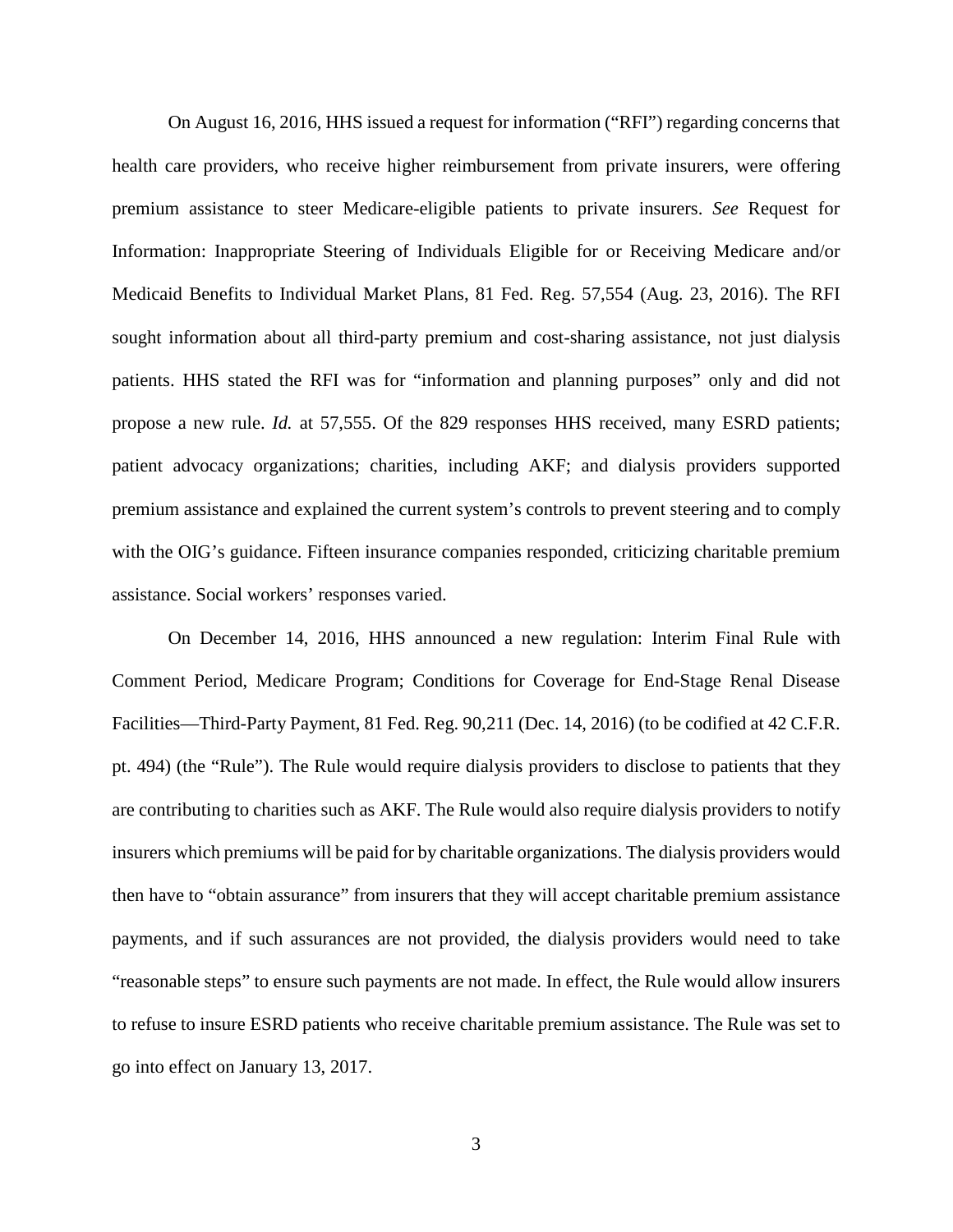On August 16, 2016, HHS issued a request for information ("RFI") regarding concerns that health care providers, who receive higher reimbursement from private insurers, were offering premium assistance to steer Medicare-eligible patients to private insurers. *See* Request for Information: Inappropriate Steering of Individuals Eligible for or Receiving Medicare and/or Medicaid Benefits to Individual Market Plans, 81 Fed. Reg. 57,554 (Aug. 23, 2016). The RFI sought information about all third-party premium and cost-sharing assistance, not just dialysis patients. HHS stated the RFI was for "information and planning purposes" only and did not propose a new rule. *Id.* at 57,555. Of the 829 responses HHS received, many ESRD patients; patient advocacy organizations; charities, including AKF; and dialysis providers supported premium assistance and explained the current system's controls to prevent steering and to comply with the OIG's guidance. Fifteen insurance companies responded, criticizing charitable premium assistance. Social workers' responses varied.

On December 14, 2016, HHS announced a new regulation: Interim Final Rule with Comment Period, Medicare Program; Conditions for Coverage for End-Stage Renal Disease Facilities—Third-Party Payment, 81 Fed. Reg. 90,211 (Dec. 14, 2016) (to be codified at 42 C.F.R. pt. 494) (the "Rule"). The Rule would require dialysis providers to disclose to patients that they are contributing to charities such as AKF. The Rule would also require dialysis providers to notify insurers which premiums will be paid for by charitable organizations. The dialysis providers would then have to "obtain assurance" from insurers that they will accept charitable premium assistance payments, and if such assurances are not provided, the dialysis providers would need to take "reasonable steps" to ensure such payments are not made. In effect, the Rule would allow insurers to refuse to insure ESRD patients who receive charitable premium assistance. The Rule was set to go into effect on January 13, 2017.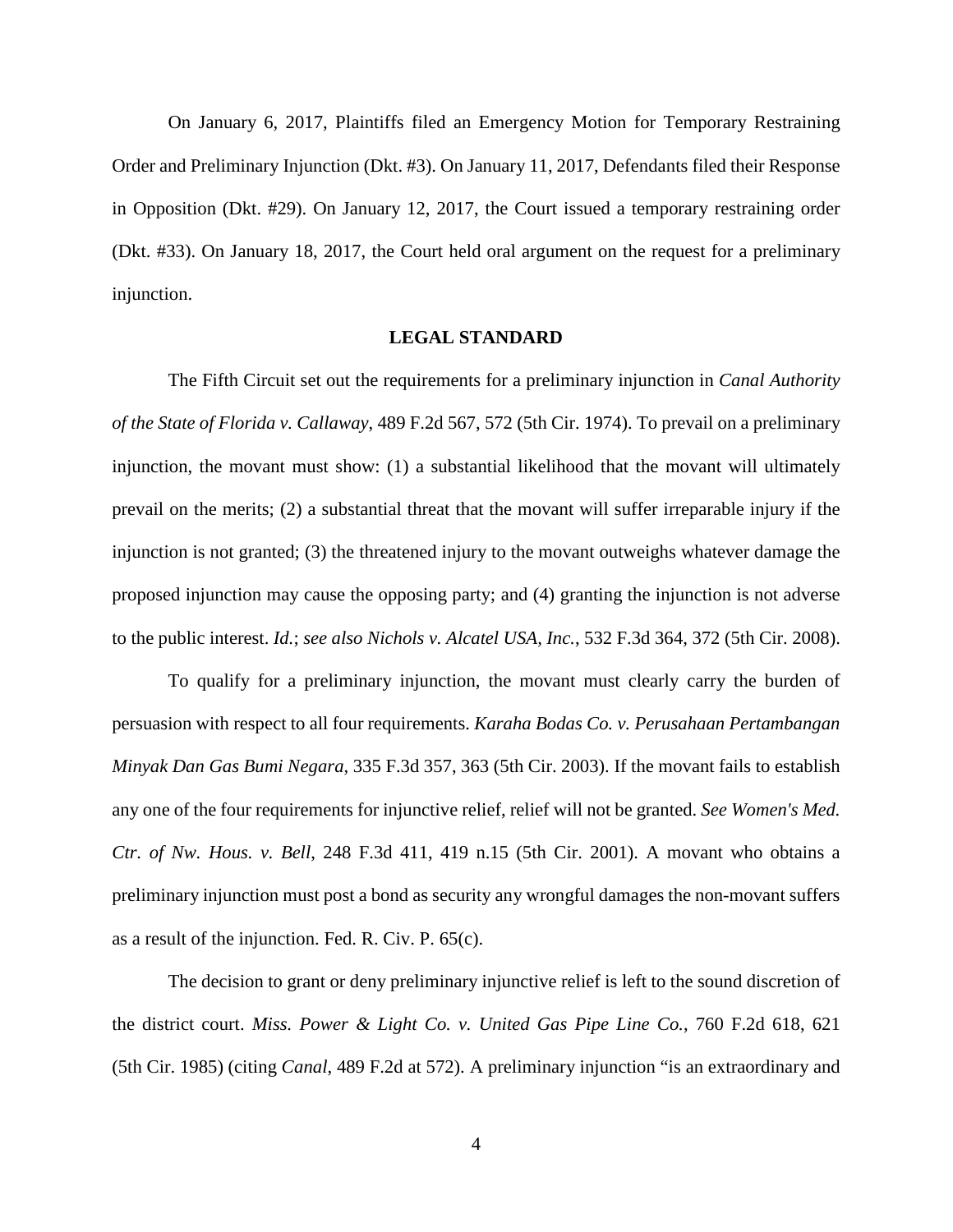On January 6, 2017, Plaintiffs filed an Emergency Motion for Temporary Restraining Order and Preliminary Injunction (Dkt. #3). On January 11, 2017, Defendants filed their Response in Opposition (Dkt. #29). On January 12, 2017, the Court issued a temporary restraining order (Dkt. #33). On January 18, 2017, the Court held oral argument on the request for a preliminary injunction.

## **LEGAL STANDARD**

The Fifth Circuit set out the requirements for a preliminary injunction in *Canal Authority of the State of Florida v. Callaway*, 489 F.2d 567, 572 (5th Cir. 1974). To prevail on a preliminary injunction, the movant must show: (1) a substantial likelihood that the movant will ultimately prevail on the merits; (2) a substantial threat that the movant will suffer irreparable injury if the injunction is not granted; (3) the threatened injury to the movant outweighs whatever damage the proposed injunction may cause the opposing party; and (4) granting the injunction is not adverse to the public interest. *Id.*; *see also Nichols v. Alcatel USA, Inc.*, 532 F.3d 364, 372 (5th Cir. 2008).

To qualify for a preliminary injunction, the movant must clearly carry the burden of persuasion with respect to all four requirements. *Karaha Bodas Co. v. Perusahaan Pertambangan Minyak Dan Gas Bumi Negara*, 335 F.3d 357, 363 (5th Cir. 2003). If the movant fails to establish any one of the four requirements for injunctive relief, relief will not be granted. *See Women's Med. Ctr. of Nw. Hous. v. Bell*, 248 F.3d 411, 419 n.15 (5th Cir. 2001). A movant who obtains a preliminary injunction must post a bond as security any wrongful damages the non-movant suffers as a result of the injunction. Fed. R. Civ. P. 65(c).

The decision to grant or deny preliminary injunctive relief is left to the sound discretion of the district court. *Miss. Power & Light Co. v. United Gas Pipe Line Co.*, 760 F.2d 618, 621 (5th Cir. 1985) (citing *Canal*, 489 F.2d at 572). A preliminary injunction "is an extraordinary and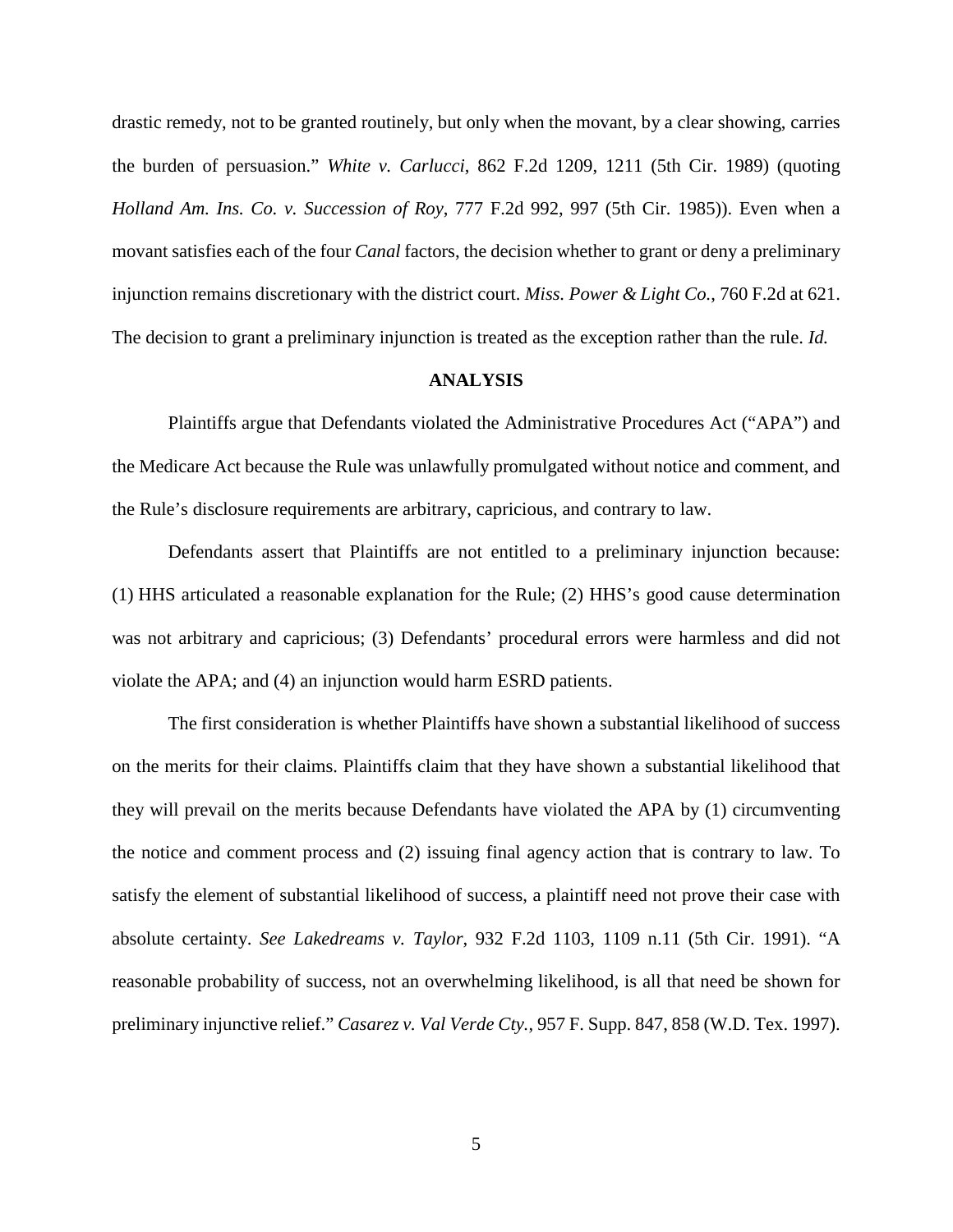drastic remedy, not to be granted routinely, but only when the movant, by a clear showing, carries the burden of persuasion." *White v. Carlucci*, 862 F.2d 1209, 1211 (5th Cir. 1989) (quoting *Holland Am. Ins. Co. v. Succession of Roy*, 777 F.2d 992, 997 (5th Cir. 1985)). Even when a movant satisfies each of the four *Canal* factors, the decision whether to grant or deny a preliminary injunction remains discretionary with the district court. *Miss. Power & Light Co.*, 760 F.2d at 621. The decision to grant a preliminary injunction is treated as the exception rather than the rule. *Id.*

### **ANALYSIS**

Plaintiffs argue that Defendants violated the Administrative Procedures Act ("APA") and the Medicare Act because the Rule was unlawfully promulgated without notice and comment, and the Rule's disclosure requirements are arbitrary, capricious, and contrary to law.

Defendants assert that Plaintiffs are not entitled to a preliminary injunction because: (1) HHS articulated a reasonable explanation for the Rule; (2) HHS's good cause determination was not arbitrary and capricious; (3) Defendants' procedural errors were harmless and did not violate the APA; and (4) an injunction would harm ESRD patients.

The first consideration is whether Plaintiffs have shown a substantial likelihood of success on the merits for their claims. Plaintiffs claim that they have shown a substantial likelihood that they will prevail on the merits because Defendants have violated the APA by (1) circumventing the notice and comment process and (2) issuing final agency action that is contrary to law. To satisfy the element of substantial likelihood of success, a plaintiff need not prove their case with absolute certainty. *See Lakedreams v. Taylor*, 932 F.2d 1103, 1109 n.11 (5th Cir. 1991). "A reasonable probability of success, not an overwhelming likelihood, is all that need be shown for preliminary injunctive relief." *Casarez v. Val Verde Cty.*, 957 F. Supp. 847, 858 (W.D. Tex. 1997).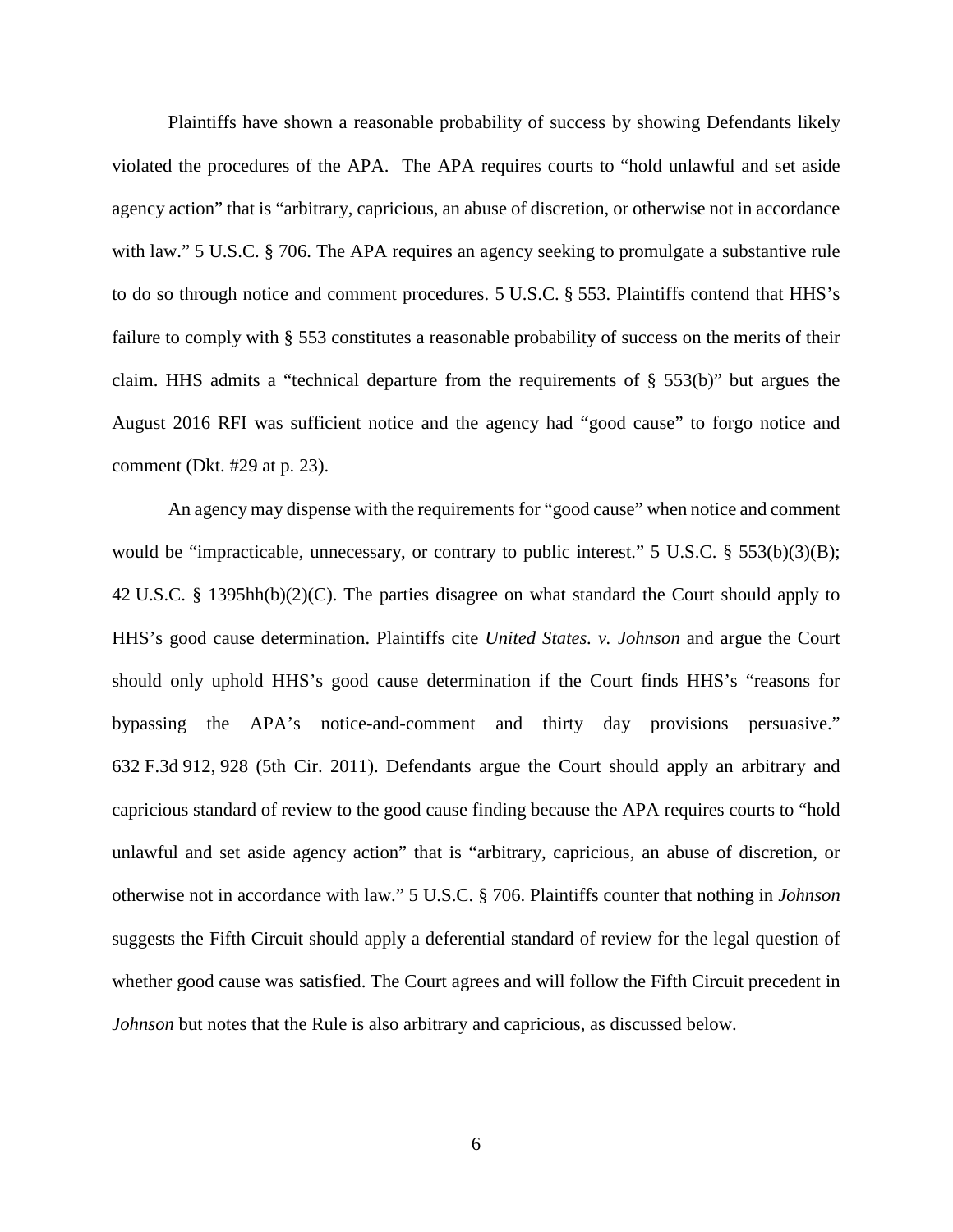Plaintiffs have shown a reasonable probability of success by showing Defendants likely violated the procedures of the APA. The APA requires courts to "hold unlawful and set aside agency action" that is "arbitrary, capricious, an abuse of discretion, or otherwise not in accordance with law." 5 U.S.C. § 706. The APA requires an agency seeking to promulgate a substantive rule to do so through notice and comment procedures. 5 U.S.C. § 553. Plaintiffs contend that HHS's failure to comply with § 553 constitutes a reasonable probability of success on the merits of their claim. HHS admits a "technical departure from the requirements of § 553(b)" but argues the August 2016 RFI was sufficient notice and the agency had "good cause" to forgo notice and comment (Dkt. #29 at p. 23).

An agency may dispense with the requirements for "good cause" when notice and comment would be "impracticable, unnecessary, or contrary to public interest." 5 U.S.C. § 553(b)(3)(B); 42 U.S.C. § 1395hh(b)(2)(C). The parties disagree on what standard the Court should apply to HHS's good cause determination. Plaintiffs cite *United States. v. Johnson* and argue the Court should only uphold HHS's good cause determination if the Court finds HHS's "reasons for bypassing the APA's notice-and-comment and thirty day provisions persuasive." 632 F.3d 912, 928 (5th Cir. 2011). Defendants argue the Court should apply an arbitrary and capricious standard of review to the good cause finding because the APA requires courts to "hold unlawful and set aside agency action" that is "arbitrary, capricious, an abuse of discretion, or otherwise not in accordance with law." 5 U.S.C. § 706. Plaintiffs counter that nothing in *Johnson*  suggests the Fifth Circuit should apply a deferential standard of review for the legal question of whether good cause was satisfied. The Court agrees and will follow the Fifth Circuit precedent in *Johnson* but notes that the Rule is also arbitrary and capricious, as discussed below.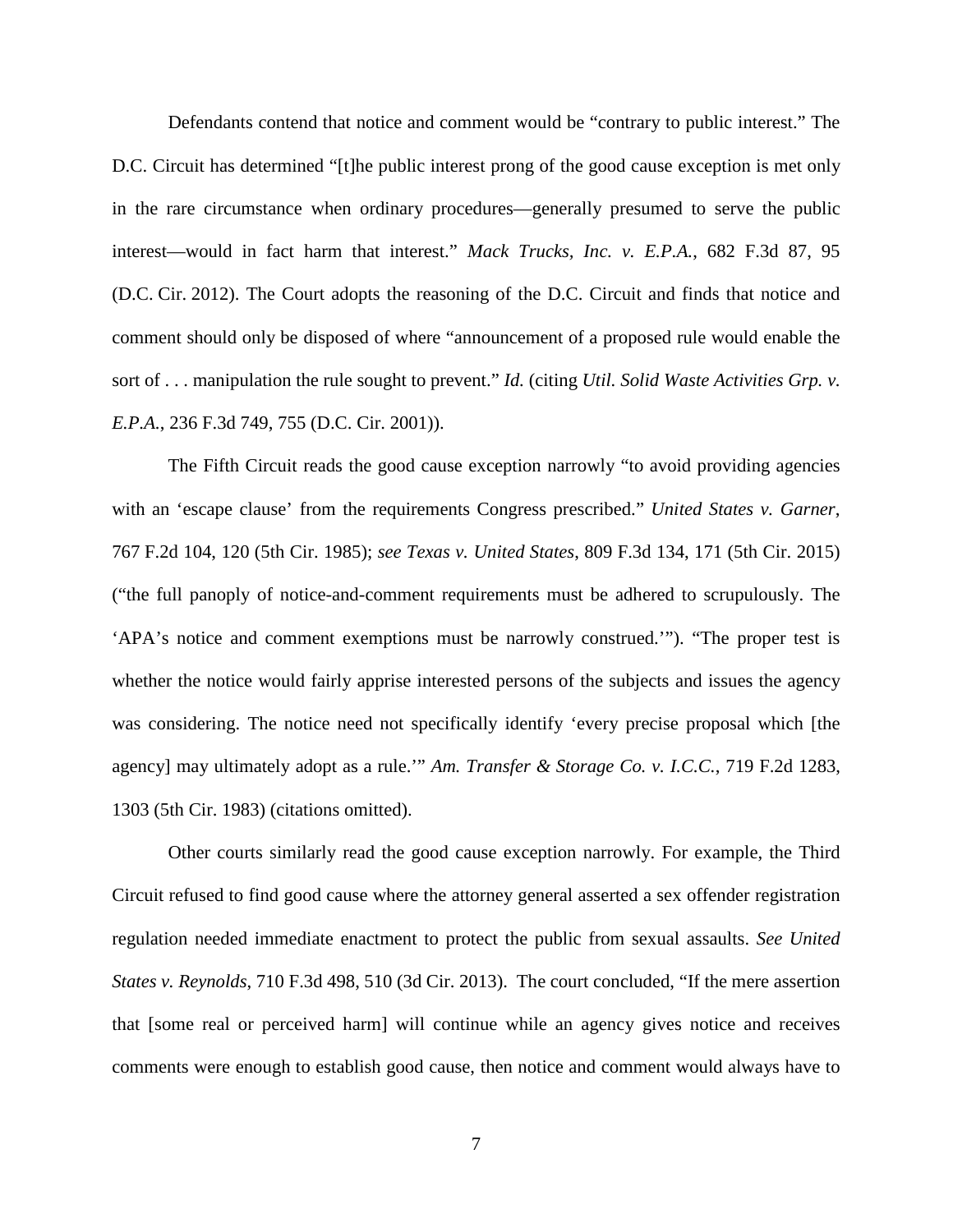Defendants contend that notice and comment would be "contrary to public interest." The D.C. Circuit has determined "[t]he public interest prong of the good cause exception is met only in the rare circumstance when ordinary procedures—generally presumed to serve the public interest—would in fact harm that interest." *Mack Trucks, Inc. v. E.P.A.*, 682 F.3d 87, 95 (D.C. Cir. 2012). The Court adopts the reasoning of the D.C. Circuit and finds that notice and comment should only be disposed of where "announcement of a proposed rule would enable the sort of . . . manipulation the rule sought to prevent." *Id.* (citing *Util. Solid Waste Activities Grp. v. E.P.A.*, 236 F.3d 749, 755 (D.C. Cir. 2001)).

The Fifth Circuit reads the good cause exception narrowly "to avoid providing agencies with an 'escape clause' from the requirements Congress prescribed." *United States v. Garner*, 767 F.2d 104, 120 (5th Cir. 1985); *see Texas v. United States*, 809 F.3d 134, 171 (5th Cir. 2015) ("the full panoply of notice-and-comment requirements must be adhered to scrupulously. The 'APA's notice and comment exemptions must be narrowly construed.'"). "The proper test is whether the notice would fairly apprise interested persons of the subjects and issues the agency was considering. The notice need not specifically identify 'every precise proposal which [the agency] may ultimately adopt as a rule.'" *Am. Transfer & Storage Co. v. I.C.C.*, 719 F.2d 1283, 1303 (5th Cir. 1983) (citations omitted).

Other courts similarly read the good cause exception narrowly. For example, the Third Circuit refused to find good cause where the attorney general asserted a sex offender registration regulation needed immediate enactment to protect the public from sexual assaults. *See United States v. Reynolds*, 710 F.3d 498, 510 (3d Cir. 2013). The court concluded, "If the mere assertion that [some real or perceived harm] will continue while an agency gives notice and receives comments were enough to establish good cause, then notice and comment would always have to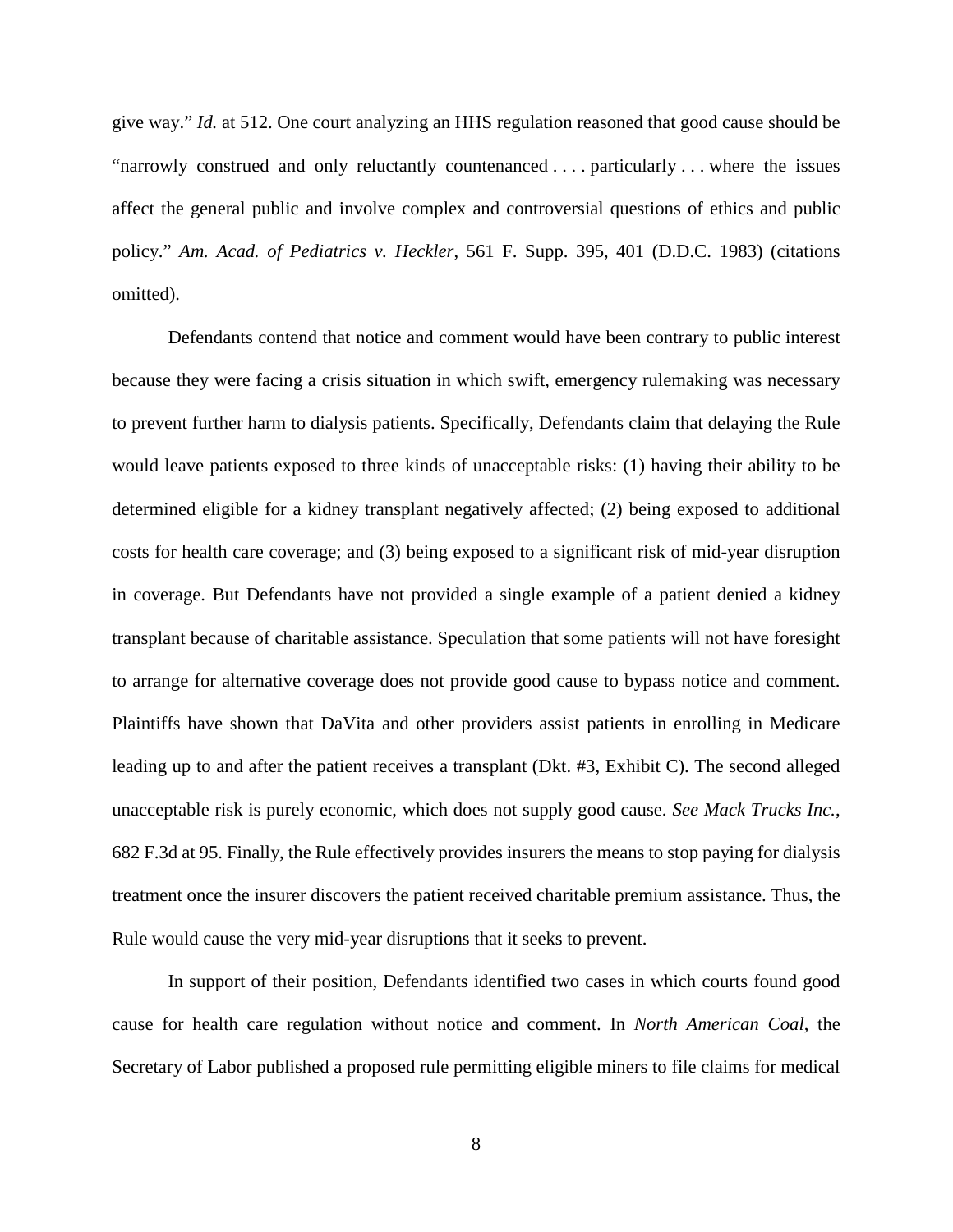give way." *Id.* at 512. One court analyzing an HHS regulation reasoned that good cause should be "narrowly construed and only reluctantly countenanced . . . . particularly . . . where the issues affect the general public and involve complex and controversial questions of ethics and public policy." *Am. Acad. of Pediatrics v. Heckler*, 561 F. Supp. 395, 401 (D.D.C. 1983) (citations omitted).

Defendants contend that notice and comment would have been contrary to public interest because they were facing a crisis situation in which swift, emergency rulemaking was necessary to prevent further harm to dialysis patients. Specifically, Defendants claim that delaying the Rule would leave patients exposed to three kinds of unacceptable risks: (1) having their ability to be determined eligible for a kidney transplant negatively affected; (2) being exposed to additional costs for health care coverage; and (3) being exposed to a significant risk of mid-year disruption in coverage. But Defendants have not provided a single example of a patient denied a kidney transplant because of charitable assistance. Speculation that some patients will not have foresight to arrange for alternative coverage does not provide good cause to bypass notice and comment. Plaintiffs have shown that DaVita and other providers assist patients in enrolling in Medicare leading up to and after the patient receives a transplant (Dkt. #3, Exhibit C). The second alleged unacceptable risk is purely economic, which does not supply good cause. *See Mack Trucks Inc.*, 682 F.3d at 95. Finally, the Rule effectively provides insurers the means to stop paying for dialysis treatment once the insurer discovers the patient received charitable premium assistance. Thus, the Rule would cause the very mid-year disruptions that it seeks to prevent.

In support of their position, Defendants identified two cases in which courts found good cause for health care regulation without notice and comment. In *North American Coal*, the Secretary of Labor published a proposed rule permitting eligible miners to file claims for medical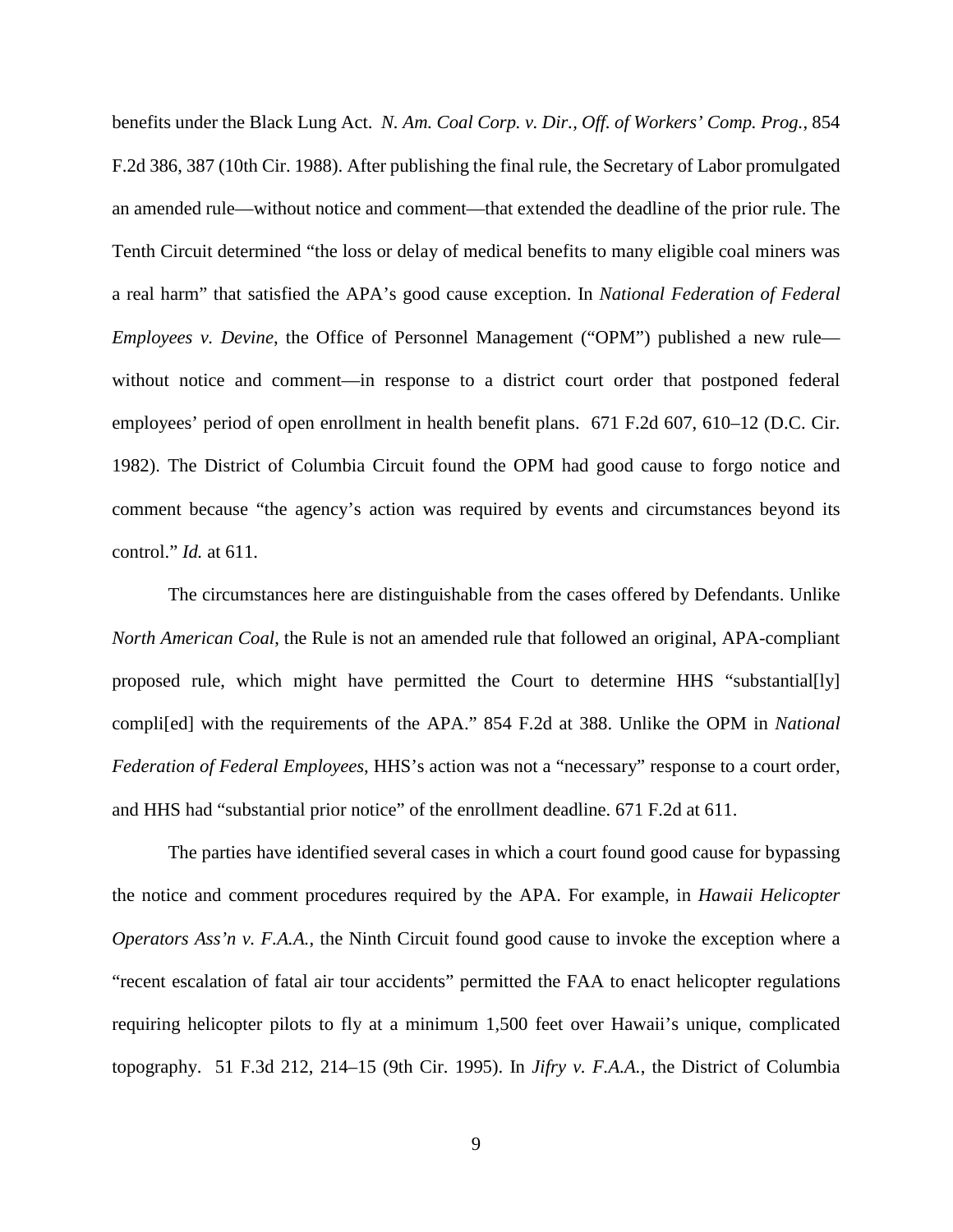benefits under the Black Lung Act. *N. Am. Coal Corp. v. Dir., Off. of Workers' Comp. Prog.*, 854 F.2d 386, 387 (10th Cir. 1988). After publishing the final rule, the Secretary of Labor promulgated an amended rule—without notice and comment—that extended the deadline of the prior rule. The Tenth Circuit determined "the loss or delay of medical benefits to many eligible coal miners was a real harm" that satisfied the APA's good cause exception. In *National Federation of Federal Employees v. Devine*, the Office of Personnel Management ("OPM") published a new rule without notice and comment—in response to a district court order that postponed federal employees' period of open enrollment in health benefit plans. 671 F.2d 607, 610–12 (D.C. Cir. 1982). The District of Columbia Circuit found the OPM had good cause to forgo notice and comment because "the agency's action was required by events and circumstances beyond its control." *Id.* at 611.

The circumstances here are distinguishable from the cases offered by Defendants. Unlike *North American Coal*, the Rule is not an amended rule that followed an original, APA-compliant proposed rule, which might have permitted the Court to determine HHS "substantial[ly] compli[ed] with the requirements of the APA." 854 F.2d at 388. Unlike the OPM in *National Federation of Federal Employees*, HHS's action was not a "necessary" response to a court order, and HHS had "substantial prior notice" of the enrollment deadline. 671 F.2d at 611.

The parties have identified several cases in which a court found good cause for bypassing the notice and comment procedures required by the APA. For example, in *Hawaii Helicopter Operators Ass'n v. F.A.A.*, the Ninth Circuit found good cause to invoke the exception where a "recent escalation of fatal air tour accidents" permitted the FAA to enact helicopter regulations requiring helicopter pilots to fly at a minimum 1,500 feet over Hawaii's unique, complicated topography. 51 F.3d 212, 214–15 (9th Cir. 1995). In *Jifry v. F.A.A.*, the District of Columbia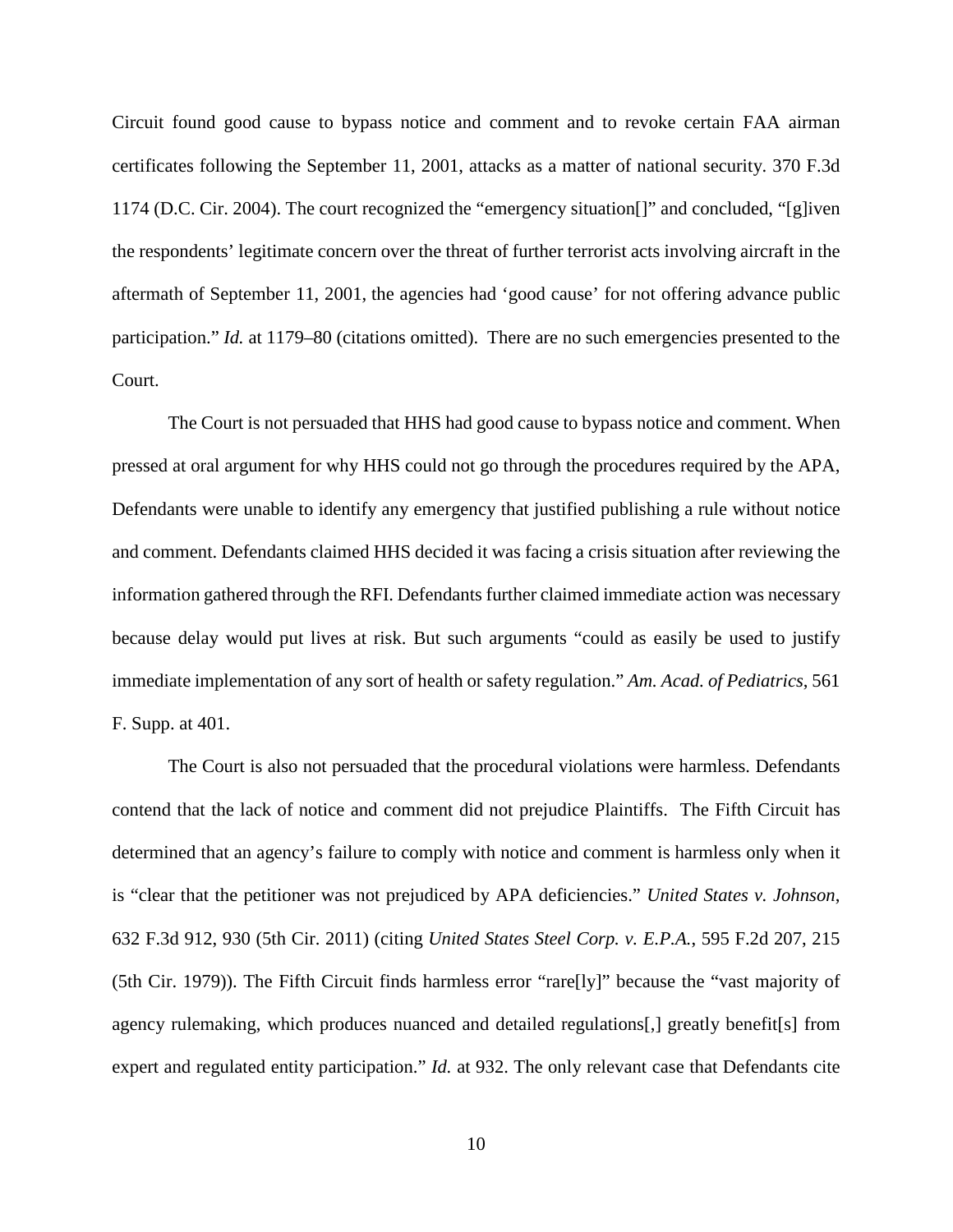Circuit found good cause to bypass notice and comment and to revoke certain FAA airman certificates following the September 11, 2001, attacks as a matter of national security. 370 F.3d 1174 (D.C. Cir. 2004). The court recognized the "emergency situation[]" and concluded, "[g]iven the respondents' legitimate concern over the threat of further terrorist acts involving aircraft in the aftermath of September 11, 2001, the agencies had 'good cause' for not offering advance public participation." *Id.* at 1179–80 (citations omitted). There are no such emergencies presented to the Court.

The Court is not persuaded that HHS had good cause to bypass notice and comment. When pressed at oral argument for why HHS could not go through the procedures required by the APA, Defendants were unable to identify any emergency that justified publishing a rule without notice and comment. Defendants claimed HHS decided it was facing a crisis situation after reviewing the information gathered through the RFI. Defendants further claimed immediate action was necessary because delay would put lives at risk. But such arguments "could as easily be used to justify immediate implementation of any sort of health or safety regulation." *Am. Acad. of Pediatrics*, 561 F. Supp. at 401.

The Court is also not persuaded that the procedural violations were harmless. Defendants contend that the lack of notice and comment did not prejudice Plaintiffs. The Fifth Circuit has determined that an agency's failure to comply with notice and comment is harmless only when it is "clear that the petitioner was not prejudiced by APA deficiencies." *United States v. Johnson*, 632 F.3d 912, 930 (5th Cir. 2011) (citing *United States Steel Corp. v. E.P.A.*, 595 F.2d 207, 215 (5th Cir. 1979)). The Fifth Circuit finds harmless error "rare[ly]" because the "vast majority of agency rulemaking, which produces nuanced and detailed regulations[,] greatly benefit[s] from expert and regulated entity participation." *Id.* at 932. The only relevant case that Defendants cite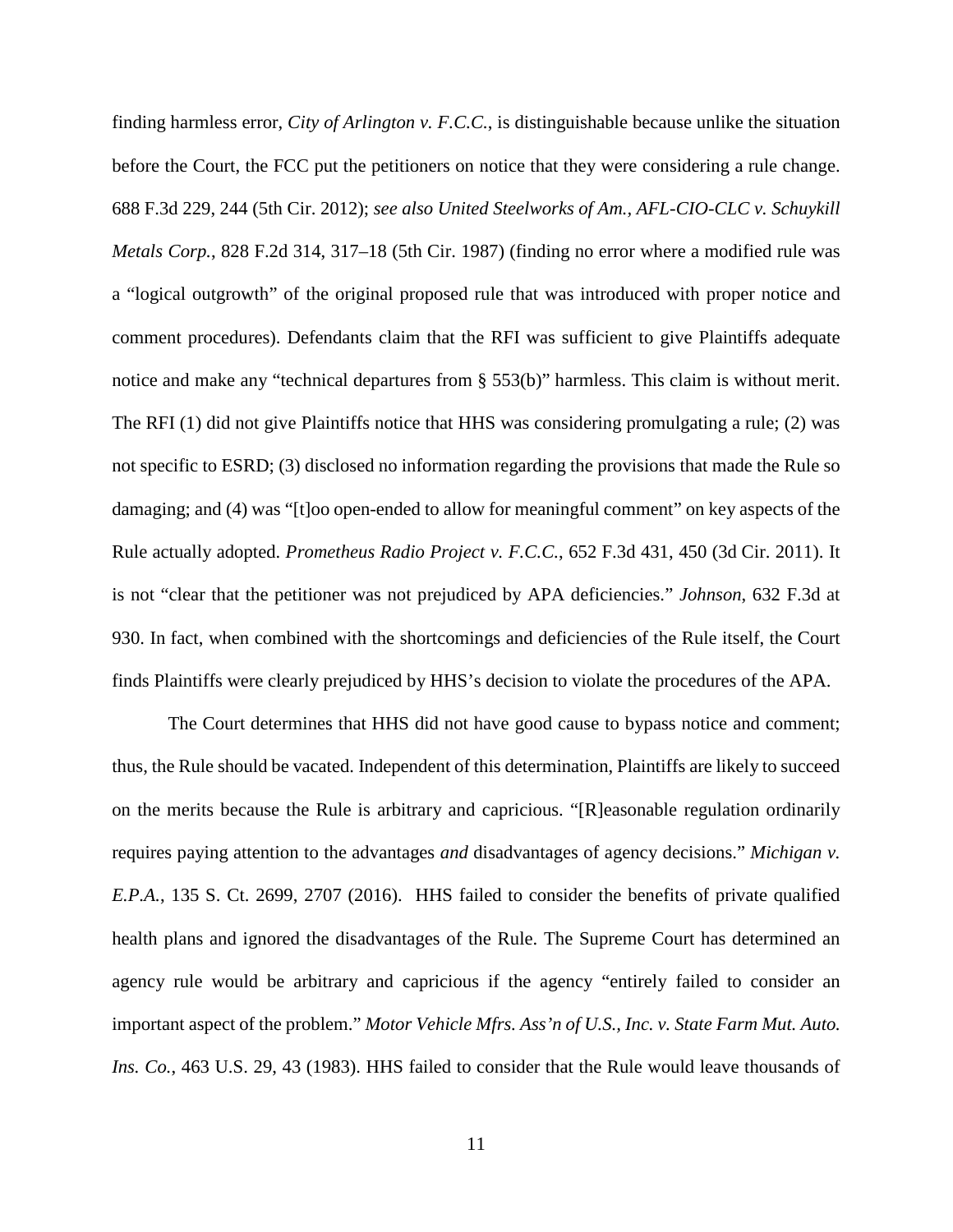finding harmless error, *City of Arlington v. F.C.C.*, is distinguishable because unlike the situation before the Court, the FCC put the petitioners on notice that they were considering a rule change. 688 F.3d 229, 244 (5th Cir. 2012); *see also United Steelworks of Am., AFL-CIO-CLC v. Schuykill Metals Corp.*, 828 F.2d 314, 317–18 (5th Cir. 1987) (finding no error where a modified rule was a "logical outgrowth" of the original proposed rule that was introduced with proper notice and comment procedures). Defendants claim that the RFI was sufficient to give Plaintiffs adequate notice and make any "technical departures from § 553(b)" harmless. This claim is without merit. The RFI (1) did not give Plaintiffs notice that HHS was considering promulgating a rule; (2) was not specific to ESRD; (3) disclosed no information regarding the provisions that made the Rule so damaging; and (4) was "[t]oo open-ended to allow for meaningful comment" on key aspects of the Rule actually adopted. *Prometheus Radio Project v. F.C.C.*, 652 F.3d 431, 450 (3d Cir. 2011). It is not "clear that the petitioner was not prejudiced by APA deficiencies." *Johnson*, 632 F.3d at 930. In fact, when combined with the shortcomings and deficiencies of the Rule itself, the Court finds Plaintiffs were clearly prejudiced by HHS's decision to violate the procedures of the APA.

The Court determines that HHS did not have good cause to bypass notice and comment; thus, the Rule should be vacated. Independent of this determination, Plaintiffs are likely to succeed on the merits because the Rule is arbitrary and capricious. "[R]easonable regulation ordinarily requires paying attention to the advantages *and* disadvantages of agency decisions." *Michigan v. E.P.A.*, 135 S. Ct. 2699, 2707 (2016). HHS failed to consider the benefits of private qualified health plans and ignored the disadvantages of the Rule. The Supreme Court has determined an agency rule would be arbitrary and capricious if the agency "entirely failed to consider an important aspect of the problem." *Motor Vehicle Mfrs. Ass'n of U.S., Inc. v. State Farm Mut. Auto. Ins. Co.*, 463 U.S. 29, 43 (1983). HHS failed to consider that the Rule would leave thousands of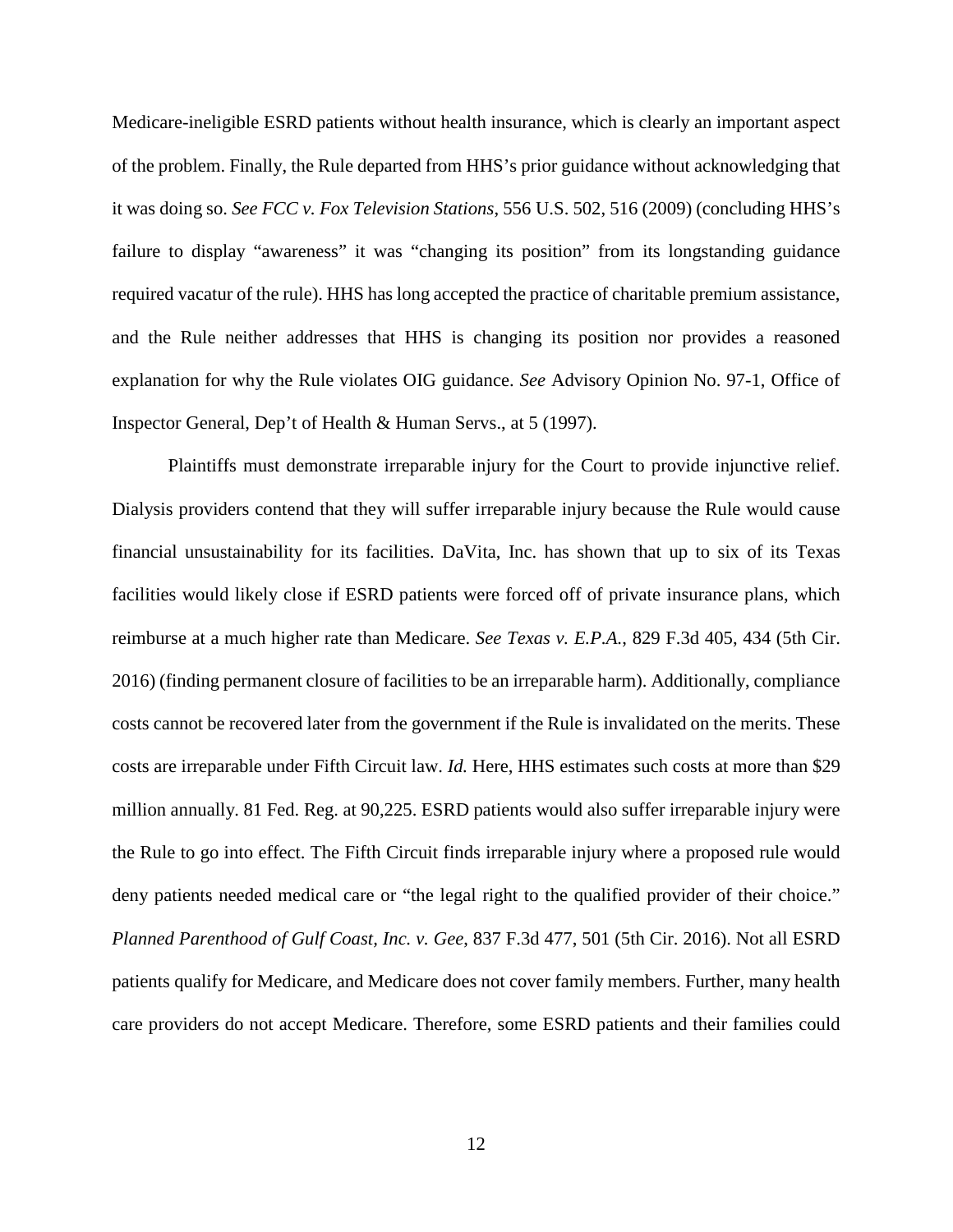Medicare-ineligible ESRD patients without health insurance, which is clearly an important aspect of the problem. Finally, the Rule departed from HHS's prior guidance without acknowledging that it was doing so. *See FCC v. Fox Television Stations*, 556 U.S. 502, 516 (2009) (concluding HHS's failure to display "awareness" it was "changing its position" from its longstanding guidance required vacatur of the rule). HHS has long accepted the practice of charitable premium assistance, and the Rule neither addresses that HHS is changing its position nor provides a reasoned explanation for why the Rule violates OIG guidance. *See* Advisory Opinion No. 97-1, Office of Inspector General, Dep't of Health & Human Servs., at 5 (1997).

Plaintiffs must demonstrate irreparable injury for the Court to provide injunctive relief. Dialysis providers contend that they will suffer irreparable injury because the Rule would cause financial unsustainability for its facilities. DaVita, Inc. has shown that up to six of its Texas facilities would likely close if ESRD patients were forced off of private insurance plans, which reimburse at a much higher rate than Medicare. *See Texas v. E.P.A.*, 829 F.3d 405, 434 (5th Cir. 2016) (finding permanent closure of facilities to be an irreparable harm). Additionally, compliance costs cannot be recovered later from the government if the Rule is invalidated on the merits. These costs are irreparable under Fifth Circuit law. *Id.* Here, HHS estimates such costs at more than \$29 million annually. 81 Fed. Reg. at 90,225. ESRD patients would also suffer irreparable injury were the Rule to go into effect. The Fifth Circuit finds irreparable injury where a proposed rule would deny patients needed medical care or "the legal right to the qualified provider of their choice." *Planned Parenthood of Gulf Coast, Inc. v. Gee*, 837 F.3d 477, 501 (5th Cir. 2016). Not all ESRD patients qualify for Medicare, and Medicare does not cover family members. Further, many health care providers do not accept Medicare. Therefore, some ESRD patients and their families could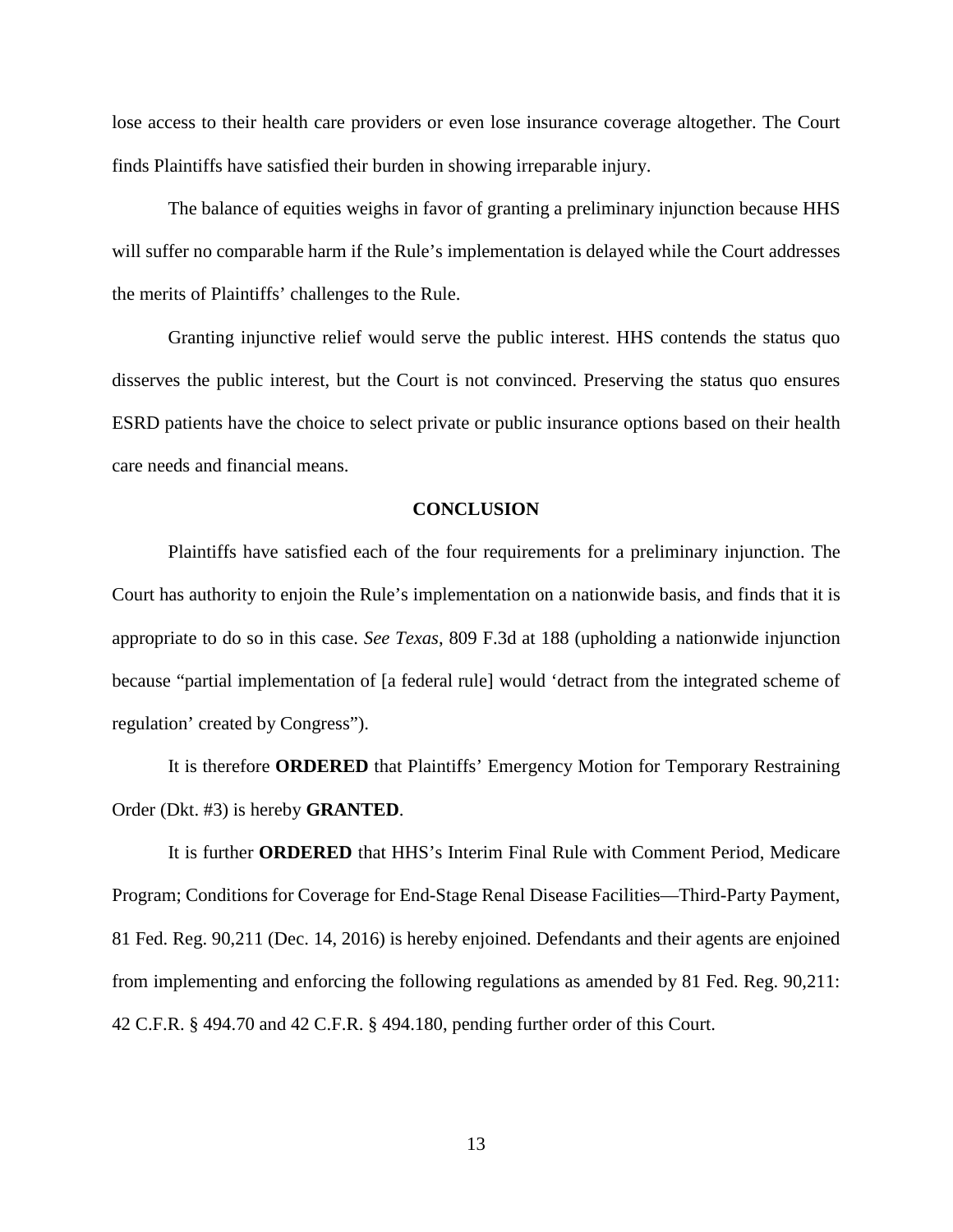lose access to their health care providers or even lose insurance coverage altogether. The Court finds Plaintiffs have satisfied their burden in showing irreparable injury.

The balance of equities weighs in favor of granting a preliminary injunction because HHS will suffer no comparable harm if the Rule's implementation is delayed while the Court addresses the merits of Plaintiffs' challenges to the Rule.

Granting injunctive relief would serve the public interest. HHS contends the status quo disserves the public interest, but the Court is not convinced. Preserving the status quo ensures ESRD patients have the choice to select private or public insurance options based on their health care needs and financial means.

### **CONCLUSION**

Plaintiffs have satisfied each of the four requirements for a preliminary injunction. The Court has authority to enjoin the Rule's implementation on a nationwide basis, and finds that it is appropriate to do so in this case. *See Texas*, 809 F.3d at 188 (upholding a nationwide injunction because "partial implementation of [a federal rule] would 'detract from the integrated scheme of regulation' created by Congress").

It is therefore **ORDERED** that Plaintiffs' Emergency Motion for Temporary Restraining Order (Dkt. #3) is hereby **GRANTED**.

It is further **ORDERED** that HHS's Interim Final Rule with Comment Period, Medicare Program; Conditions for Coverage for End-Stage Renal Disease Facilities—Third-Party Payment, 81 Fed. Reg. 90,211 (Dec. 14, 2016) is hereby enjoined. Defendants and their agents are enjoined from implementing and enforcing the following regulations as amended by 81 Fed. Reg. 90,211: 42 C.F.R. § 494.70 and 42 C.F.R. § 494.180, pending further order of this Court.